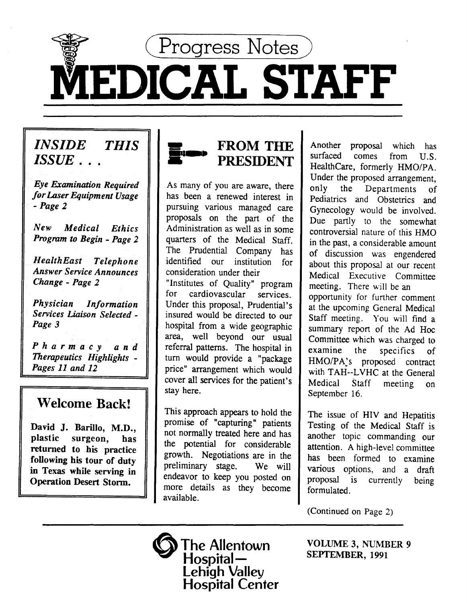

# MEDICAL STAFF

# *INSIDE THIS ISSUE .* ..

*Eye Examination Required for Laser Equipment Usage -Page 2* 

*New Medical Ethics Program to Begin* - *Page 2* 

*HealthEast Telephone Answer Service Announces Change* - *Page 2* 

*Physician Information Services Liaison Selected* - *Page 3* 

*Pharmacy and Therapeutics Highlights* - *Pages 11 and 12* 

## Welcome Back!

David J. Barillo, M.D., plastic surgeon, has returned to his practice following his tour of duty in Texas while serving in Operation Desert Storm.



As many of you are aware, there has been a renewed interest in pursuing various managed care proposals on the part of the Administration as well as in some quarters of the Medical Staff. The Prudential Company has identified our institution for consideration under their "Institutes of Quality" program for cardiovascular services. Under this proposal, Prudential's insured would be directed to our hospital from a wide geographic area, well beyond our usual referral patterns. The hospital in turn would provide a "package price" arrangement which would cover all services for the patient's stay here.

This approach appears to hold the promise of "capturing" patients not normally treated here and has the potential for considerable growth. Negotiations are in the preliminary stage. We will endeavor to keep you posted on more details as they become available.

Another proposal which has<br>surfaced comes from U.S. comes from U.S. HealthCare, formerly HMO/PA. Under the proposed arrangement, only the Departments of Pediatrics and Obstetrics and Gynecology would be involved. Due partly to the somewhat controversial nature of this HMO in the past, a considerable amount of discussion was engendered about this proposal at our recent Medical Executive Committee meeting. There will be an opportunity for further comment at the upcoming General Medical Staff meeting. You will find a summary report of the Ad Hoc Committee which was charged to examine the specifics of HMO/PA's proposed contract with TAH--LVHC at the General Medical Staff meeting on September 16.

The issue of HIV and Hepatitis Testing of the Medical Staff is another topic commanding our attention. A high-level committee has been formed to examine various options, and a draft proposal is currently being formulated.

(Continued on Page 2)

VOLUME 3, NUMBER 9 SEPTEMBER, 1991

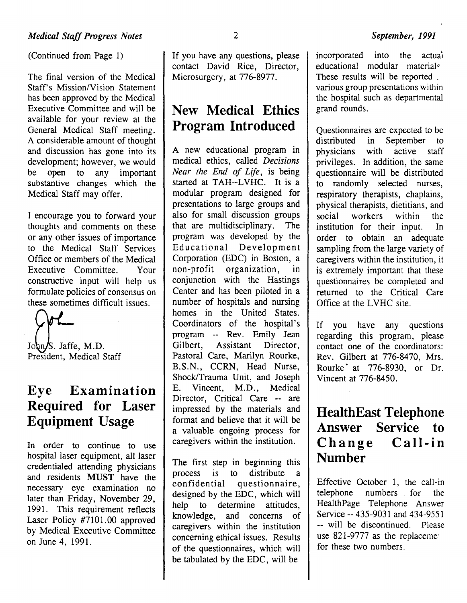(Continued from Page 1)

The final version of the Medical Staff's Mission/Vision Statement has been approved by the Medical Executive Committee and will be available for your review at the General Medical Staff meeting. A considerable amount of thought and discussion has gone into its development; however, we would<br>be open to any important to any important substantive changes which the Medical Staff may offer.

I encourage you to forward your thoughts and comments on these or any other issues of importance to the Medical Staff Services Office or members of the Medical Executive Committee. Your constructive input will help us formulate policies of consensus on these sometimes difficult issues.

John/S. Jaffe, M.D. President, Medical Staff

## **Eye Examination Required for Laser Equipment Usage**

In order to continue to use hospital laser equipment, all laser credentialed attending physicians and residents MUST have the necessary eye examination no later than Friday, November 29, 1991. This requirement reflects Laser Policy  $#7101.00$  approved by Medical Executive Committee on June 4, 1991.

If you have any questions, please contact David Rice, Director, Microsurgery, at 776-8977.

## **New Medical Ethics Program Introduced**

A new educational program in medical ethics, called *Decisions Near the End of Life,* is being started at TAH--LVHC. It is a modular program designed for presentations to large groups and also for small discussion groups that are multidisciplinary. The program was developed by the Educational Development Corporation (EDC) in Boston, a non-profit organization, in conjunction with the Hastings Center and has been piloted in a number of hospitals and nursing homes in the United States. Coordinators of the hospital's program -- Rev. Emily Jean Gilbert, Assistant Director, Pastoral Care, Marilyn Rourke, B.S.N., CCRN, Head Nurse, Shock/Trauma Unit, and Joseph E. Vincent, M.D., Medical Director, Critical Care -- are impressed by the materials and format and believe that it will be a valuable ongoing process for caregivers within the institution.

The first step in beginning this process is to distribute a confidential questionnaire, designed by the EDC, which will help to determine attitudes, knowledge, and concerns of caregivers within the institution concerning ethical issues. Results of the questionnaires, which will be tabulated by the EDC, will be

*September, 1991* 

educational modular materials These results will be reported \_ various group presentations within the hospital such as departmental grand rounds.

Questionnaires are expected to be distributed in September to physicians with active staff privileges. In addition, the same questionnaire will be distributed to randomly selected nurses, respiratory therapists, chaplains, physical therapists, dietitians, and social workers within the institution for their input. In order to obtain an adequate sampling from the large variety of caregivers within the institution, it is extremely important that these questionnaires be completed and returned to the Critical Care Office at the LVHC site.

If you have any questions regarding this program, please contact one of the coordinators: Rev. Gilbert at 776-8470, Mrs. Rourke~ at 776-8930, or Dr. Vincent at 776-8450.

## **HealthEast Telephone Answer Service to Change Call-in Number**

Effective October 1, the call-in telephone numbers for the HealthPage Telephone Answer Service -- 435-9031 and 434-9551 -- will be discontinued. Please use  $821-9777$  as the replaceme for these two numbers.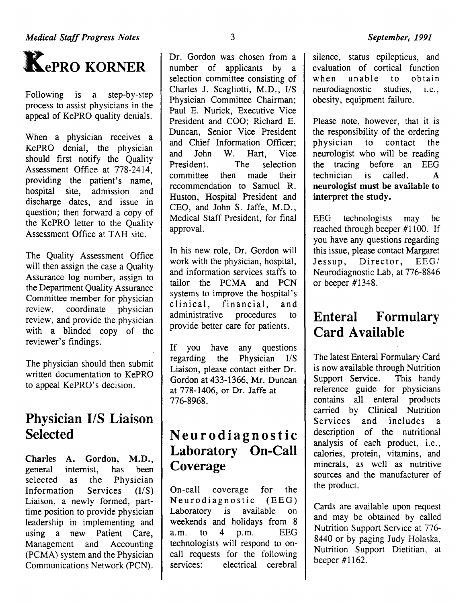

Following is a step-by-step process to assist physicians in the appeal of KePRO quality denials.

When a physician receives a KePRO denial, the physician should first notify the Quality<br>Assessment Office at 778-2414, providing the patient's name, hospital site, admission and discharge dates, and issue in question; then forward a copy of the KePRO letter to the Quality Assessment Office at TAH site.

The Quality Assessment Office will then assign the case a Quality Assurance log number, assign to the Department Quality Assurance Committee member for physician review, coordinate physician review, and provide the physician with a blinded copy of the reviewer's findings.

The physician should then submit written documentation to KePRO to appeal KePRO's decision.

## **Physician 1/S Liaison Selected**

Charles A. Gordon, M.D., general internist, has been selected as the Physician Information Services  $(I/S)$ Liaison, a newly formed, parttime position to provide physician leadership in implementing and using a new Patient Care,<br>Management and Accounting (PCMA) system and the Physician Communications Network (PCN).

Dr. Gordon was chosen from a number of applicants by a selection committee consisting of Charles J. Scagliotti, M.D., I/S Physician Committee Chairman; Paul E. Nurick, Executive Vice President and COO; Richard E. Duncan, Senior Vice President and Chief Information Officer;<br>and John W. Hart, Vice President. The selection committee then made their recommendation to Samuel R. Huston, Hospital President and CEO, and John S. Jaffe, M.D., Medical Staff President, for final approval.

In his new role, Dr. Gordon will work with the physician, hospital, and information services staffs to tailor the PCMA and PCN systems to improve the hospital's clinical, financial, and<br>administrative procedures to administrative procedures to provide better care for patients.

If you have any questions regarding the Physician  $I/S$ Liaison, please contact either Dr. Gordon at 433-1366, Mr. Duncan at 778-1406, or Dr. Jaffe at 776-8968.

# **Neurodiagnostic Laboratory On-Call Coverage**

On-call coverage for the Neurodiagnostic (EEG)<br>Laboratory is available on Laboratory is available on weekends and holidays from 8 a.m. to 4 p.m. EEG technologists will respond to oncall requests for the following services: electrical cerebral

silence, status epilepticus, and evaluation of cortical function<br>when unable to obtain to obtain<br>studies, i.e., neurodiagnostic obesity, equipment failure.

Please note, however, that it is the responsibility of the ordering<br>physician to contact the to contact the neurologist who will be reading the tracing before an EEG technician is called. A neurologist must be available to interpret the study.

EEG technologists may be reached through beeper #1100. If you have any questions regarding this issue, please contact Margaret Jessup, Director, EEG/ Neurodiagnostic Lab, at 776-8846 or beeper #1348.

# **Enteral Formulary Card Available**

The latest Enteral Formulary Card is now available through Nutrition<br>Support Service. This handy Support Service. reference guide for physicians contains all enteral products carried by Clinical Nutrition Services and includes a description of the nutritional analysis of each product, i.e., calories, protein, vitamins, and minerals, as well as nutritive sources and the manufacturer of the product.

Cards are available upon request and may be obtained by called Nutrition Support Service at 776- 8440 or by paging Judy Holaska, Nutrition Support Dietitian, at beeper #1162.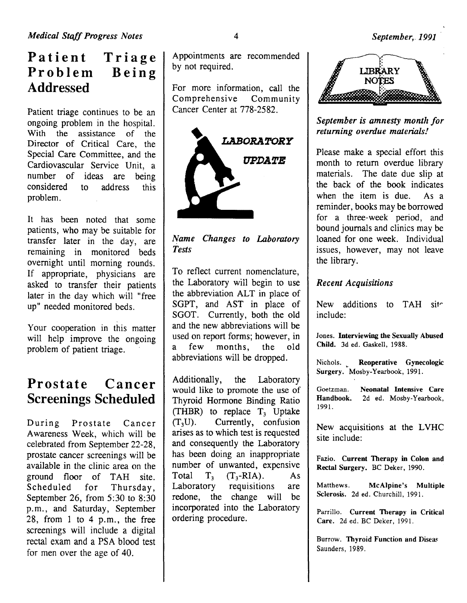## **Patient Triage Problem Addressed Being**

Patient triage continues to be an ongoing problem in the hospital. With the assistance of the Director of Critical Care, the Special Care Committee, and the Cardiovascular Service Unit, a number of ideas are being considered to address this problem.

It has been noted that some patients, who may be suitable for transfer later in the day, are remaining in monitored beds overnight until morning rounds. If appropriate, physicians are asked to transfer their patients later in the day which will "free up" needed monitored beds.

Your cooperation in this matter will help improve the ongoing problem of patient triage.

## **Prostate Cancer Screenings Scheduled**

During Prostate Cancer Awareness Week, which will be celebrated from September 22-28, prostate cancer screenings will be available in the clinic area on the ground floor of TAH site. Scheduled for Thursday, September 26, from 5:30 to 8:30 p.m., and Saturday, September 28, from 1 to 4 p.m., the free screenings will include a digital rectal exam and a PSA blood test for men over the age of 40.

Appointments are recommended by not required.

For more information, call the<br>Comprehensive Community Comprehensive Cancer Center at 778-2582.



*Name Changes to Laboratory Tests* 

To reflect current nomenclature, the Laboratory will begin to use the abbreviation ALT in place of SGPT, and AST in place of SGOT. Currently, both the old and the new abbreviations will be used on report forms; however, in a few months, the old abbreviations will be dropped.

Additionally, the Laboratory would like to promote the use of Thyroid Hormone Binding Ratio (THBR) to replace  $T_3$  Uptake<br>(T<sub>3</sub>U). Currently, confusion Currently, confusion arises as to which test is requested and consequently the Laboratory has been doing an inappropriate number of unwanted, expensive Total  $T_3$   $(T_3-RIA)$ . As<br>Laboratory requisitions are requisitions are redone, the change will be incorporated into the Laboratory ordering procedure.



*September is amnesty month for returning overdue materials!* 

Please make a special effort this month to return overdue library materials. The date due slip at the back of the book indicates when the item is due. As a reminder, books may be borrowed for a three-week period, and bound journals and clinics may be loaned for one week. Individual issues, however, may not leave the library.

## *Recent Acquisitions*

New additions to TAH site include:

Jones. Interviewing the Sexually Abused Child. 3d ed. Gaskell, 1988.

Nichols. Reoperative Gynecologic Surgery. Mosby-Yearbook, 1991.

Goetzman. Handbook. 1991. Neonatal Intensive Care 2d ed. Mosby-Yearbook,

New acquisitions at the LVHC site include:

Fazio. Current Therapy in Colon and Rectal Surgery. BC Deker, 1990.

Matthews. McAlpine's Multiple Sclerosis. 2d ed. Churchill, 1991.

Parrillo. Current Therapy in Critical Care. 2d ed. BC Deker, 1991.

Burrow. Thyroid Function and Diseas Saunders, 1989.

4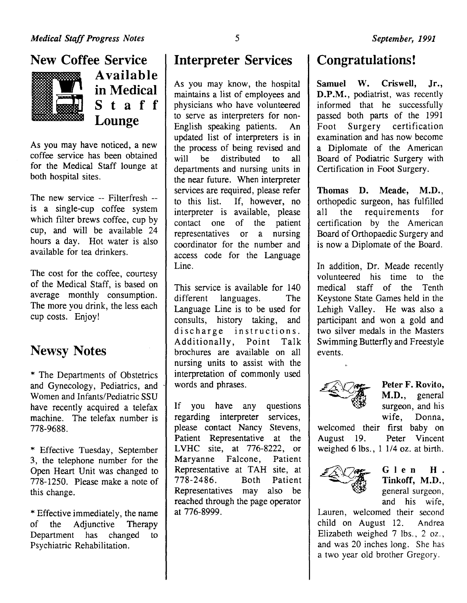## New Coffee Service



Available in Medical S t a f f Lounge

As you may have noticed, a new coffee service has been obtained for the Medical Staff lounge at both hospital sites.

The new service -- Filterfresh - is a single-cup coffee system which filter brews coffee, cup by cup, and will be available 24 hours a day. Hot water is also available for tea drinkers.

The cost for the coffee, courtesy of the Medical Staff, is based on average monthly consumption. The more you drink, the less each cup costs. Enjoy!

# Newsy Notes

\* The Departments of Obstetrics and Gynecology, Pediatrics, and Women and Infants/Pediatric SSU have recently acquired a telefax machine. The telefax number is 778-9688.

\* Effective Tuesday, September 3, the telephone number for the Open Heart Unit was changed to 778-1250. Please make a note of this change.

\*Effective immediately, the name of the Adjunctive Therapy Department has changed to Psychiatric Rehabilitation.

## Interpreter Services

As you may know, the hospital maintains a list of employees and physicians who have volunteered to serve as interpreters for non-English speaking patients. An updated list of interpreters is in the process of being revised and<br>will be distributed to all he distributed to all departments and nursing units in the near future. When interpreter services are required, please refer to this list. If, however, no interpreter is available, please contact one of the patient representatives or a nursing coordinator for the number and access code for the Language Line.

This service is available for 140 different languages. The Language Line is to be used for consults, history taking, and discharge instructions.<br>Additionally, Point Talk Additionally, brochures are available on all nursing units to assist with the interpretation of commonly used words and phrases.

If you have any questions regarding interpreter services, please contact Nancy Stevens, Patient Representative at the L VHC site, at 776-8222, or Maryanne Falcone, Patient Representative at TAH site, at 778-2486. Both Patient Representatives may also be reached through the page operator at 776-8999.

## Congratulations!

Samuel W. Criswell, Jr., D.P.M., podiatrist, was recently informed that he successfully passed both parts of the 1991 Foot Surgery certification examination and has now become a Diplomate of the American Board of Podiatric Surgery with Certification in Foot Surgery.

Thomas D. Meade, M.D., orthopedic surgeon, has fulfilled all the requirements for certification by the American Board of Orthopaedic Surgery and is now a Diplomate of the Board.

In addition, Dr. Meade recently volunteered his time to the medical staff of the Tenth Keystone State Games held in the Lehigh Valley. He was also a participant and won a gold and two silver medals in the Masters Swimming Butterfly and Freestyle events.



Peter F. Rovito, M.D., general surgeon, and his wife, Donna,

welcomed their first baby on August 19. Peter Vincent weighed 6 lbs., 1 1/4 oz. at birth.



#### Glen H. Tinkoff, M.D., general surgeon, and his wife,

Lauren, welcomed their second child on August 12. Andrea Elizabeth weighed 7 lbs., 2 oz., and was 20 inches long. She has a two year old brother Gregory.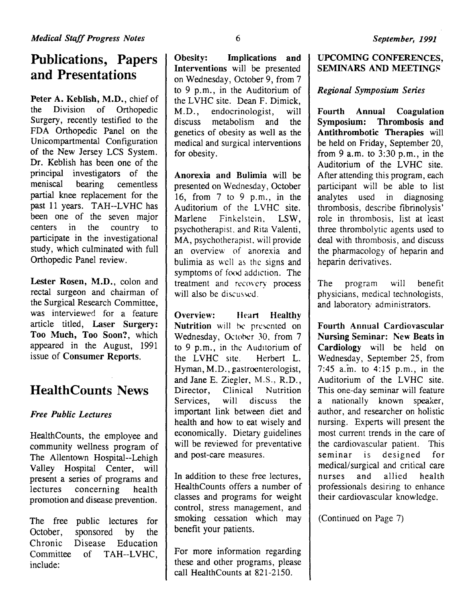# **Publications, Papers and Presentations**

Peter A. Keblish, M.D., chief of the Division of Orthopedic Surgery, recently testified to the FDA Orthopedic Panel on the Unicompartmental Configuration of the New Jersey LCS System. Dr. Keblish has been one of the principal investigators of the meniscal bearing cementless partial knee replacement for the past 11 years. TAH--LVHC has been one of the seven major centers in the country to participate in the investigational study, which culminated with full Orthopedic Panel review.

Lester Rosen, M.D., colon and rectal surgeon and chairman of the Surgical Research Committee, was interviewed for a feature article titled, Laser Surgery: Too Much, Too Soon?, which appeared in the August, 1991 issue of Consumer Reports.

## **HealthCounts** News

## *Free Public Lectures*

HealthCounts, the employee and community wellness program of The Allentown Hospital--Lehigh Valley Hospital Center, will present a series of programs and lectures concerning health promotion and disease prevention.

The free public lectures for October, sponsored by the Chronic Disease Education Committee of TAH--LVHC, include:

Obesity: Implications and Interventions will be presented on Wednesday, October 9, from 7 to 9 p.m., in the Auditorium of the LVHC site. Dean F. Dimick. M.D. , endocrinologist, will discuss metabolism and the genetics of obesity as well as the medical and surgical interventions for obesity.

Anorexia and Bulimia will be presented on Wednesday, October 16, from 7 to 9 p.m., in the Auditorium of the LVHC site. Marlene Finkelstein, LSW, psychotherapist. and Rita Valenti, MA, psychotherapist. will provide an overview of anorexia and bulimia as well as the signs and symptoms of food addiction. The treatment and recovery process will also be discussed.

Overview: Heart Healthy Nutrition will be presented on Wednesday, October 30, from 7 to 9 p.m., in the Auditorium of the LVHC site. Herbert L. Hyman, M.D., gastrocnterologist, and Jane E. Ziegler, M.S., R.D., Director, Clinical Nutrition Services, will discuss the important link between diet and health and how to eat wisely and economically. Dietary guidelines will be reviewed for preventative and post-care measures.

In addition to these free lectures, HealthCounts offers a number of classes and programs for weight control, stress management, and smoking cessation which may benefit your patients.

For more information regarding these and other programs, please call HealthCounts at 821-2150.

#### UPCOMING CONFERENCES, SEMINARS AND MEETINGS

#### *Regional Symposium Series*

Fourth Annual Coagulation Symposium: Thrombosis and Antithrombotic Therapies will be held on Friday, September 20, from 9 a.m. to  $3:30$  p.m., in the Auditorium of the LVHC site. After attending this program, each participant will be able to list analytes used in diagnosing thrombosis, describe fibrinolysis' role in thrombosis, list at least three thrombolytic agents used to deal with thrombosis, and discuss the pharmacology of heparin and heparin derivatives.

The program will benefit physicians, medical technologists, and laboratory administrators.

Fourth Annual Cardiovascular Nursing Seminar: New Beats in Cardiology will be held on Wednesday, September 25, from 7:45 a.m. to 4:15 p.m., in the Auditorium of the LVHC site. This one-day seminar will feature a nationally known speaker, author, and researcher on holistic nursing. Experts will present the most current trends in the care of the cardiovascular patient. This seminar is designed for medical/surgical and critical care nurses and allied health professionals desiring to enhance their cardiovascular knowledge.

(Continued on Page 7)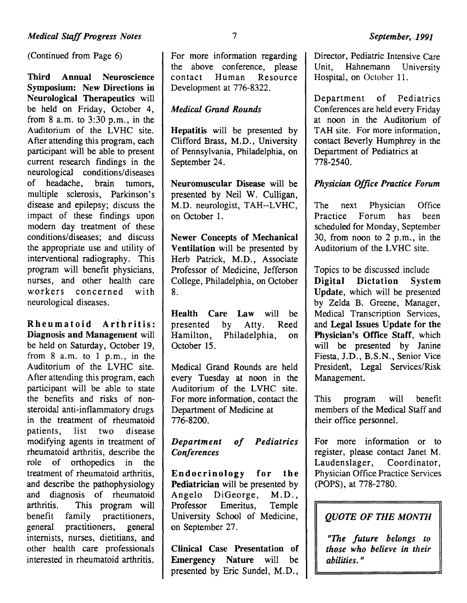(Continued from Page 6)

Third Annual Neuroscience Symposium: New Directions in Neurological Therapeutics will be held on Friday, October 4, from  $8$  a.m. to  $3:30$  p.m., in the Auditorium of the LVHC site. After attending this program, each participant will be able to present current research findings in the neurological conditions/ diseases of headache, brain tumors, multiple sclerosis, Parkinson's disease and epilepsy; discuss the impact of these findings upon modern day treatment of these conditions/diseases; and discuss the appropriate use and utility of interventional radiography. This program will benefit physicians, nurses, and other health care<br>workers concerned with concerned with neurological diseases.

Rheumatoid Arthritis: Diagnosis and Management will be held on Saturday, October 19, from 8 a.m. to 1 p.m., in the Auditorium of the LVHC site. After attending this program, each participant will be able to state the benefits and risks of nonsteroidal anti-inflammatory drugs in the treatment of rheumatoid patients, list two disease modifying agents in treatment of rheumatoid arthritis, describe the role of orthopedics in the treatment of rheumatoid arthritis, and describe the pathophysiology and diagnosis of rheumatoid arthritis. This program will benefit family practitioners, general practitioners, general internists, nurses, dietitians, and other health care professionals interested in rheumatoid arthritis.

For more information regarding the above conference, please<br>contact Human Resource Resource Development at 776-8322.

#### *Medical Grand Rounds*

Hepatitis will be presented by Clifford Brass, M.D., University of Pennsylvania, Philadelphia, on September 24.

Neuromuscular Disease will be presented by Neil W. Culligan, M.D. neurologist, TAH--LVHC, on October 1.

Newer Concepts of Mechanical Ventilation will be presented by Herb Patrick, M.D., Associate Professor of Medicine, Jefferson College, Philadelphia, on October 8.

Health Care Law will be presented by Atty. Reed Hamilton, Philadelphia, on October 15.

Medical Grand Rounds are held every Tuesday at noon in the Auditorium of the LVHC site. For more information, contact the Department of Medicine at 776-8200.

#### *Department of Pediatrics Conferences*

Endocrinology for the Pediatrician will be presented by Angelo DiGeorge, M.D., Professor Emeritus, Temple University School of Medicine, on September 27.

Clinical Case Presentation of Emergency Nature will be presented by Eric Sundel, M.D.,

Director, Pediatric Intensive Care<br>Unit. Hahnemann University Hahnemann University

Department of Pediatrics Conferences are held every Friday at noon in the Auditorium of TAH site. For more information, contact Beverly Humphrey in the Department of Pediatrics at 778-2540.

Hospital, on October 11.

#### *Physician Office Practice Forum*

The next Physician Office Practice Forum has been scheduled for Monday, September 30, from noon to 2 p.m., in the Auditorium of the LVHC site.

Topics to be discussed include Digital Dictation System Update, which will be presented by Zelda B. Greene, Manager, Medical Transcription Services, and Legal Issues Update for the Physician's Office Staff, which will be presented by Janine Fiesta, J.D., B.S.N., Senior Vice President, Legal Services/Risk Management.

This program will benefit members of the Medical Staff and their office personnel.

For more information or to register, please contact Janet M. Laudenslager, Coordinator, Physician Office Practice Services (POPS), at 778-2780.

## *QUOTE OF THE MONTH*

*"The future belongs to those who believe in their*  abilities."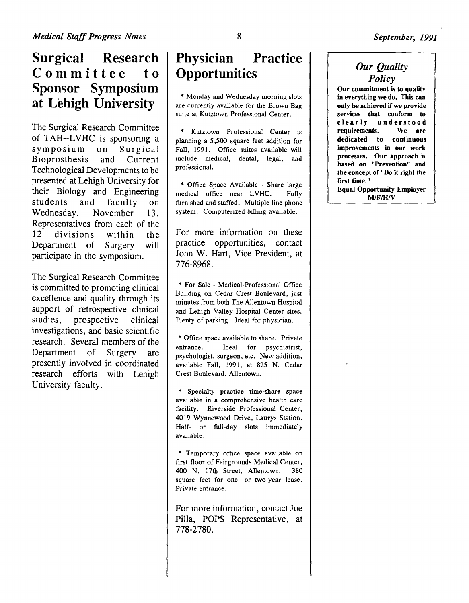## **Surgical Research Committee to Sponsor Symposium at Lehigh University**

The Surgical Research Committee of TAH--LVHC is sponsoring a symposium on Surgical Bioprosthesis and Current Technological Developments to be presented at Lehigh University for their Biology and Engineering students and faculty on Wednesday, November 13. Representatives from each of the 12 divisions within the Department of Surgery will participate in the symposium.

The Surgical Research Committee is committed to promoting clinical excellence and quality through its support of retrospective clinical studies, prospective clinical investigations, and basic scientific research. Several members of the Department of Surgery are presently involved in coordinated research efforts with Lehigh University faculty.

# **Physician Practice Opportunities**

\* Monday and Wednesday morning slots are currently available for the Brown Bag suite at Kutztown Professional Center.

\* Kutztown Professional Center is planning a *5,500* square feet addition for Fall, 1991. Office suites available will include medical, dental, legal, and professional.

\* Office Space Available - Share large medical office near LVHC. Fully furnished and staffed. Multiple line phone system. Computerized billing available.

For more information on these practice opportunities, contact John W. Hart, Vice President, at 776-8968.

\* For Sale - Medical-Professional Office Building on Cedar Crest Boulevard, just minutes from both The Allentown Hospital and Lehigh Valley Hospital Center sites. Plenty of parking. Ideal for physician.

\* Office space available to share. Private entrance. Ideal for psychiatrist, psychologist, surgeon, etc. New addition, available Fall, 1991, at 825 N. Cedar Crest Boulevard, Allentown.

\* Specialty practice time-share space available in a comprehensive health care facility. Riverside Professional Center, 4019 Wynnewood Drive, Laurys Station. Half- or full-day slots immediately available.

\* Temporary office space available on first floor of Fairgrounds Medical Center, 400 N. 17th Street, Allentown. 380 square feet for one- or two-year lease. Private entrance.

For more information, contact Joe Pilla, POPS Representative, at 778-2780.

## *Our Quality Policy*

Our commitment is to quality in everything we do. This can only be achieved if we provide services that conform to clearly understood<br>requirements. We are requirements. dedicated to continuous improvements in our work processes. Our approach is based on "Prevention" and the concept of "Do it right the first time." Equal Opportunity Employer  $M/F/H/V$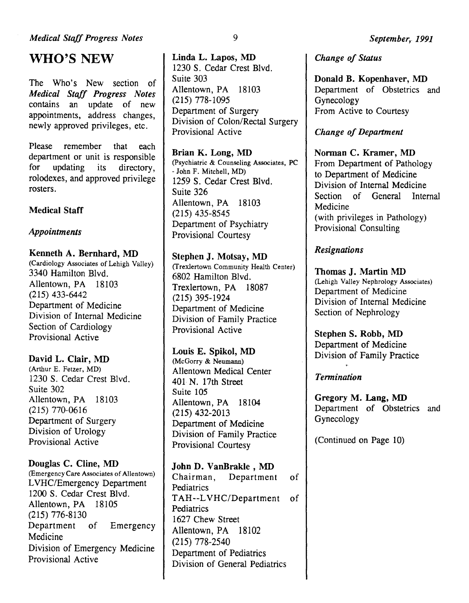## WHO'S NEW

The Who's New section of *Medical Staff Progress Notes*  contains an update of new appointments, address changes, newly approved privileges, etc.

Please remember that each department or unit is responsible for updating its directory, rolodexes, and approved privilege rosters.

### Medical Staff

#### *Appointments*

Kenneth A. Bernhard, MD (Cardiology Associates of Lehigh Valley) 3340 Hamilton Blvd. Allentown, PA 18103 (215) 433-6442 Department of Medicine Division of Internal Medicine Section of Cardiology Provisional Active

#### David L. Clair, MD

(Arthur E. Fetzer, MD) 1230 S. Cedar Crest Blvd. Suite 302 Allentown, PA 18103 (215) 770-0616 Department of Surgery Division of Urology Provisional Active

#### Douglas C. Cline, MD

(Emergency Care Associates of Allentown) L VHC/Emergency Department 1200 S. Cedar Crest Blvd. Allentown, PA 18105 (215) 776-8130 Department of Emergency Medicine Division of Emergency Medicine Provisional Active

Linda L. Lapos, MD 1230 S. Cedar Crest Blvd. Suite 303 Allentown, PA 18103 (215) 778-1095 Department of Surgery Division of Colon/Rectal Surgery Provisional Active

Brian K. Long, MD (Psychiatric & Counseling Associates, PC -John F. Mitchell, MD) 1259 S. Cedar Crest Blvd. Suite 326 Allentown, PA 18103 (215) 435-8545 Department of Psychiatry Provisional Courtesy

Stephen J. Motsay, MD (Trexlertown Community Health Center) 6802 Hamilton Blvd. Trexlertown, PA 18087 (215) 395-1924 Department of Medicine Division of Family Practice Provisional Active

Louis E. Spikol, MD (McGorry & Neumann) Allentown Medical Center 401 N. 17th Street Suite 105 Allentown, PA 18104 (215) 432-2013 Department of Medicine Division of Family Practice Provisional Courtesy

John D. VanBrakle , MD Chairman, Department of Pediatrics TAH--LVHC/Department of **Pediatrics** 1627 Chew Street Allentown, PA 18102 (215) 778-2540 Department of Pediatrics Division of General Pediatrics

#### *Change of Status*

Donald B. Kopenhaver, MD Department of Obstetrics and Gynecology From Active to Courtesy

### *Change of Department*

Norman C. Kramer, MD From Department of Pathology to Department of Medicine Division of Internal Medicine Section of General Internal Medicine (with privileges in Pathology) Provisional Consulting

### *Resignations*

Thomas J. Martin MD (Lehigh Valley Nephrology Associates) Department of Medicine Division of Internal Medicine Section of Nephrology

Stephen S. Robb, MD Department of Medicine Division of Family Practice

*Tennination* 

Gregory M. Lang, MD Department of Obstetrics and Gynecology

(Continued on Page 10)

9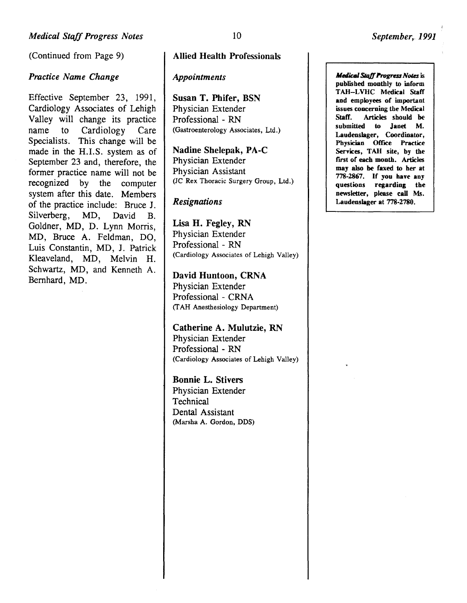(Continued from Page 9)

#### *Practice Name Change*

Effective September 23, 1991, Cardiology Associates of Lehigh Valley will change its practice name to Cardiology Care Specialists. This change will be made in the H.I.S. system as of September 23 and, therefore, the former practice name will not be recognized by the computer system after this date. Members of the practice include: Bruce J. Silverberg, MD, David B. Goldner, MD, D. Lynn Morris, MD, Bruce A. Feldman, DO, Luis Constantin, MD, J. Patrick Kleaveland, MD, Melvin H. Schwartz, MD, and Kenneth A. Bernhard, MD.

#### Allied Health Professionals

#### *Appointments*

Susan T. Phifer, BSN Physician Extender Professional - RN (Gastroenterology Associates, Ltd.)

Nadine Shelepak, PA-C Physician Extender Physician Assistant (JC Rex Thoracic Surgery Group, Ltd.)

#### *Resignations*

Lisa H. Fegley, RN Physician Extender Professional - RN (Cardiology Associates of Lehigh Valley)

David Huntoon, CRNA Physician Extender Professional- CRNA (T AH Anesthesiology Department)

Catherine A. Mulutzie, RN Physician Extender Professional - RN (Cardiology Associates of Lehigh Valley)

Bonnie L. Stivers Physician Extender **Technical** Dental Assistant (Marsha A. Gordon, DDS) *Medical Staff Progress Notes* is published monthly to inform TAH-LVHC Medical Staff and employees or important issues concerning the Medical Staff. Articles should be<br>submitted to Janet M. to Janet Laudenslager, Coordinator, Physician Office Practice Services, TAH site, by the first of each month. Articles may also be faxed to her at 778-2867. If you have any questions regarding the newsletter, please call Ms. Laudenslager at 778-2780.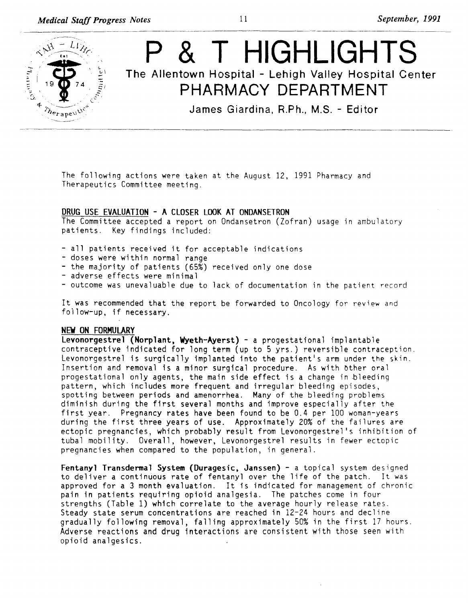

The following actions were taken at the August 12, 1991 Pharmacy and Therapeutics Committee meeting.

#### DRUG USE EVALUATION - A CLOSER LOOK AT ONDANSETRON

The Committee accepted a report on Ondansetron (Zofran) usage in ambulatory patients. Key findings included:

- -all patients received it for acceptable indications doses were within normal range
- 
- the majority of patients (65%) received only one dose<br>- adverse effects were minimal
- 
- outcome was unevaluable due to lack of documentation in the patient record

It was recommended that the report be forwarded to Oncology for review and fo)low-up, if necessary.

#### NEW ON FORMULARY

Levonorgestrel (Norplant, Wyeth-Ayerst) - a progestational implantable contraceptive indicated for long term (up to 5 yrs.) reversible contraception. Levonorgestrel is surgically implanted into the patient's arm under the skin. Insertion and removal is a minor surgical procedure. As with bther oral progestational only agents, the main side effect is a change in bleeding pattern, which includes more frequent and irregular bleeding episodes, spotting between periods and amenorrhea. Many of the bleeding problems diminish during the first several months and improve especially after the first year. Pregnancy rates have been found to be 0.4 per 100 woman-years during the first three years of use. Approximately 20% of the failures are ectopic pregnancies, which probably result from Levonorgestrel's inhibition of tubal mobility. Overall, however, Levonorgestrel results in fewer ectopic pregnancies when compared to the population, in general.

Fentanyl Transdermal System (Duragesic, Janssen) - a topical system designed to deliver a continuous rate of fentanyl over the life of the patch. It was approved for a 3 month evaluation. It is indicated for management of chronic pain in patients requiring opioid analgesia. The patches come in four strengths (Table 1) which correlate to the average hourly release rates. Steady state serum concentrations are reached in 12-24 hours and decline gradually following removal, falling approximately 50% in the first 17 hours. Adverse reactions and drug interactions are consistent with those seen with opioid analgesics.